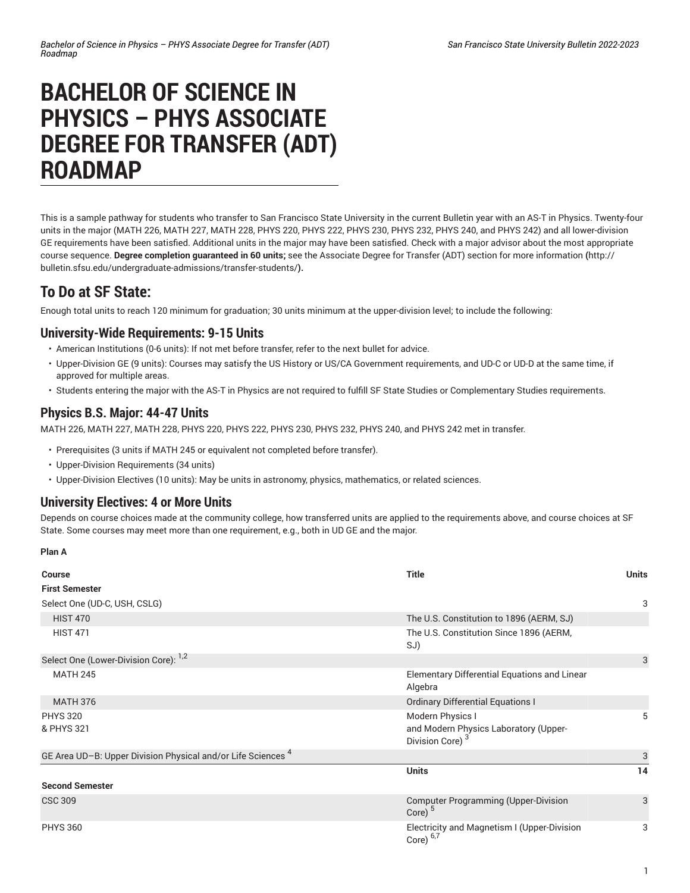# **BACHELOR OF SCIENCE IN PHYSICS – PHYS ASSOCIATE DEGREE FOR TRANSFER (ADT) ROADMAP**

This is a sample pathway for students who transfer to San Francisco State University in the current Bulletin year with an AS-T in Physics. Twenty-four units in the major (MATH 226, MATH 227, MATH 228, PHYS 220, PHYS 222, PHYS 230, PHYS 232, PHYS 240, and PHYS 242) and all lower-division GE requirements have been satisfied. Additional units in the major may have been satisfied. Check with a major advisor about the most appropriate course sequence. **Degree completion guaranteed in 60 units;** see the Associate Degree for Transfer (ADT) section for more [information](http://bulletin.sfsu.edu/undergraduate-admissions/transfer-students/) **(**[http://](http://bulletin.sfsu.edu/undergraduate-admissions/transfer-students/) [bulletin.sfsu.edu/undergraduate-admissions/transfer-students/](http://bulletin.sfsu.edu/undergraduate-admissions/transfer-students/)**).**

## **To Do at SF State:**

Enough total units to reach 120 minimum for graduation; 30 units minimum at the upper-division level; to include the following:

#### **University-Wide Requirements: 9-15 Units**

- American Institutions (0-6 units): If not met before transfer, refer to the next bullet for advice.
- Upper-Division GE (9 units): Courses may satisfy the US History or US/CA Government requirements, and UD-C or UD-D at the same time, if approved for multiple areas.
- Students entering the major with the AS-T in Physics are not required to fulfill SF State Studies or Complementary Studies requirements.

### **Physics B.S. Major: 44-47 Units**

MATH 226, MATH 227, MATH 228, PHYS 220, PHYS 222, PHYS 230, PHYS 232, PHYS 240, and PHYS 242 met in transfer.

- Prerequisites (3 units if MATH 245 or equivalent not completed before transfer).
- Upper-Division Requirements (34 units)
- Upper-Division Electives (10 units): May be units in astronomy, physics, mathematics, or related sciences.

#### **University Electives: 4 or More Units**

Depends on course choices made at the community college, how transferred units are applied to the requirements above, and course choices at SF State. Some courses may meet more than one requirement, e.g., both in UD GE and the major.

| . .<br>× |  |
|----------|--|
|          |  |

| <b>Course</b><br><b>First Semester</b>                                  | <b>Title</b>                                                                             | <b>Units</b> |
|-------------------------------------------------------------------------|------------------------------------------------------------------------------------------|--------------|
| Select One (UD-C, USH, CSLG)                                            |                                                                                          | 3            |
| <b>HIST 470</b>                                                         | The U.S. Constitution to 1896 (AERM, SJ)                                                 |              |
| <b>HIST 471</b>                                                         | The U.S. Constitution Since 1896 (AERM,<br>SJ)                                           |              |
| Select One (Lower-Division Core): <sup>1,2</sup>                        |                                                                                          | 3            |
| <b>MATH 245</b>                                                         | Elementary Differential Equations and Linear<br>Algebra                                  |              |
| <b>MATH 376</b>                                                         | <b>Ordinary Differential Equations I</b>                                                 |              |
| <b>PHYS 320</b><br>& PHYS 321                                           | Modern Physics I<br>and Modern Physics Laboratory (Upper-<br>Division Core) <sup>3</sup> | 5            |
| GE Area UD-B: Upper Division Physical and/or Life Sciences <sup>4</sup> |                                                                                          | 3            |
|                                                                         | <b>Units</b>                                                                             | 14           |
| <b>Second Semester</b>                                                  |                                                                                          |              |
| <b>CSC 309</b>                                                          | <b>Computer Programming (Upper-Division</b><br>Core) $5$                                 | 3            |
| <b>PHYS 360</b>                                                         | Electricity and Magnetism I (Upper-Division<br>Core) $6,7$                               | 3            |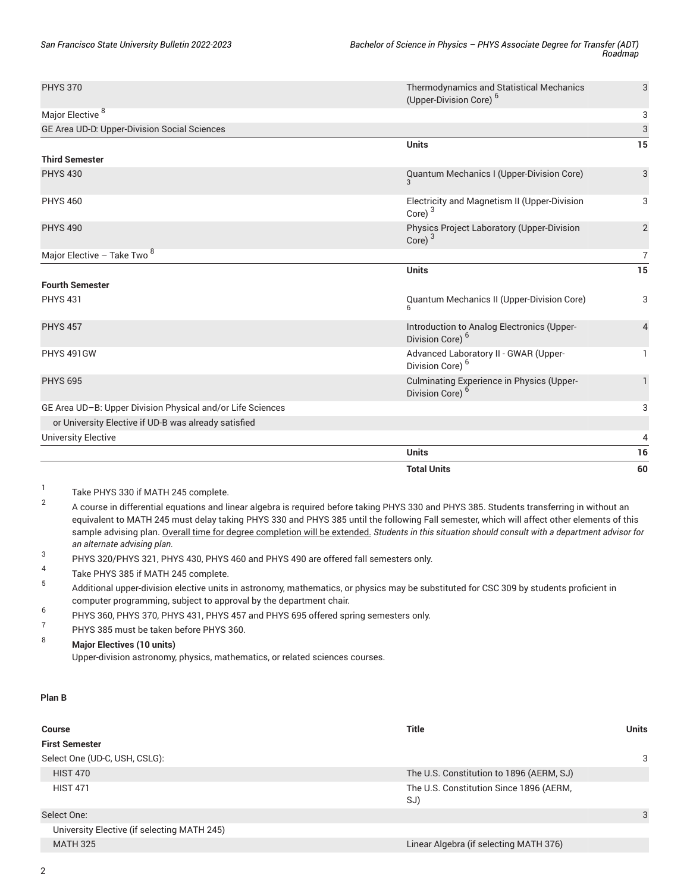| <b>PHYS 370</b>                                            | <b>Thermodynamics and Statistical Mechanics</b><br>(Upper-Division Core) <sup>6</sup> | 3              |
|------------------------------------------------------------|---------------------------------------------------------------------------------------|----------------|
| Major Elective <sup>8</sup>                                |                                                                                       | 3              |
| GE Area UD-D: Upper-Division Social Sciences               |                                                                                       | 3              |
|                                                            | <b>Units</b>                                                                          | 15             |
| <b>Third Semester</b>                                      |                                                                                       |                |
| <b>PHYS 430</b>                                            | Quantum Mechanics I (Upper-Division Core)                                             | 3              |
| <b>PHYS 460</b>                                            | Electricity and Magnetism II (Upper-Division<br>Core) $3$                             | 3              |
| <b>PHYS 490</b>                                            | Physics Project Laboratory (Upper-Division<br>Core) $3$                               | $\overline{2}$ |
| Major Elective - Take Two 8                                |                                                                                       | 7              |
|                                                            | <b>Units</b>                                                                          | 15             |
| <b>Fourth Semester</b>                                     |                                                                                       |                |
| <b>PHYS 431</b>                                            | Quantum Mechanics II (Upper-Division Core)                                            | 3              |
| <b>PHYS 457</b>                                            | Introduction to Analog Electronics (Upper-<br>Division Core) <sup>6</sup>             | $\overline{4}$ |
| PHYS 491GW                                                 | Advanced Laboratory II - GWAR (Upper-<br>Division Core) <sup>6</sup>                  | 1              |
| <b>PHYS 695</b>                                            | Culminating Experience in Physics (Upper-<br>Division Core) <sup>6</sup>              | 1              |
| GE Area UD-B: Upper Division Physical and/or Life Sciences |                                                                                       | 3              |
| or University Elective if UD-B was already satisfied       |                                                                                       |                |
| <b>University Elective</b>                                 |                                                                                       | 4              |
|                                                            | <b>Units</b>                                                                          | 16             |
|                                                            | <b>Total Units</b>                                                                    | 60             |

1 Take PHYS 330 if MATH 245 complete.

- 2 A course in differential equations and linear algebra is required before taking PHYS 330 and PHYS 385. Students transferring in without an equivalent to MATH 245 must delay taking PHYS 330 and PHYS 385 until the following Fall semester, which will affect other elements of this sample advising plan. Overall time for degree completion will be extended. *Students in this situation should consult with a department advisor for an alternate advising plan.*
- 3 PHYS 320/PHYS 321, PHYS 430, PHYS 460 and PHYS 490 are offered fall semesters only.
- 4 Take PHYS 385 if MATH 245 complete.
- 5 Additional upper-division elective units in astronomy, mathematics, or physics may be substituted for CSC 309 by students proficient in computer programming, subject to approval by the department chair.
- 6 PHYS 360, PHYS 370, PHYS 431, PHYS 457 and PHYS 695 offered spring semesters only.
- 7 PHYS 385 must be taken before PHYS 360.

### <sup>8</sup> **Major Electives (10 units)** Upper-division astronomy, physics, mathematics, or related sciences courses.

#### **Plan B**

| <b>Course</b>                               | <b>Title</b>                                   | <b>Units</b> |
|---------------------------------------------|------------------------------------------------|--------------|
| <b>First Semester</b>                       |                                                |              |
| Select One (UD-C, USH, CSLG):               |                                                | 3            |
| <b>HIST 470</b>                             | The U.S. Constitution to 1896 (AERM, SJ)       |              |
| <b>HIST 471</b>                             | The U.S. Constitution Since 1896 (AERM,<br>SJ) |              |
| Select One:                                 |                                                | 3            |
| University Elective (if selecting MATH 245) |                                                |              |
| <b>MATH 325</b>                             | Linear Algebra (if selecting MATH 376)         |              |